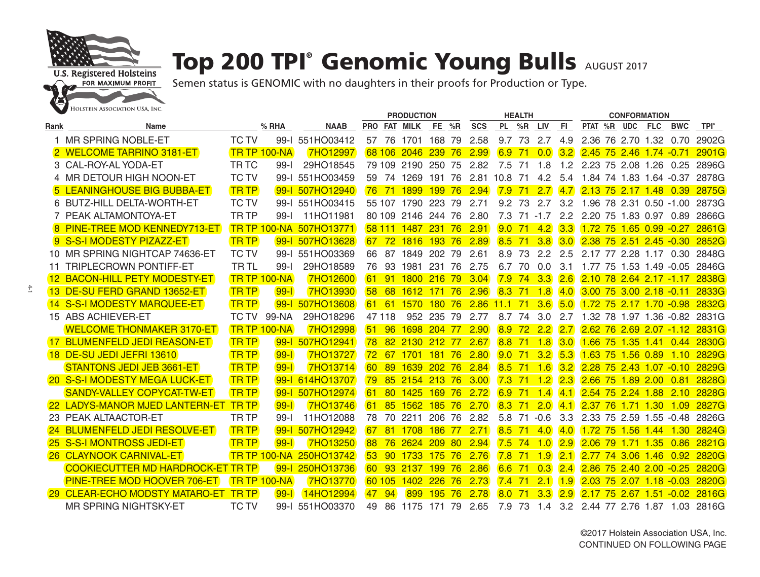

 $\ddot{4}$ 

## **Top 200 TPI® Genomic Young Bulls AUGUST 2017**

|      |                                          |              |                     |                 | <b>PRODUCTION</b> |                 |                    |            |      |            |               | <b>HEALTH</b> |            |           | <b>CONFORMATION</b>         |      |             |                       |              |
|------|------------------------------------------|--------------|---------------------|-----------------|-------------------|-----------------|--------------------|------------|------|------------|---------------|---------------|------------|-----------|-----------------------------|------|-------------|-----------------------|--------------|
| Rank | Name                                     |              | $%$ RHA             | <b>NAAB</b>     |                   |                 | PRO FAT MILK       | FE %R      |      | <b>SCS</b> |               |               | PL %R LIV  | <b>FI</b> | PTAT %R UDC FLC             |      |             | <b>BWC</b>            | TPI®         |
|      | 1 MR SPRING NOBLE-ET                     | <b>TC TV</b> | $99 - 1$            | 551HO03412      | 57                | 76              | 1701 168 79        |            |      | 2.58       | 9.7           | 73            | 2.7        | 4.9       | 2.36 76 2.70 1.32           |      |             | 0.70                  | 2902G        |
|      | 2 WELCOME TARRINO 3181-ET                |              | <b>TR TP 100-NA</b> | 7HO12997        |                   | 68 106          | 2046               | 239        | 76   | 2.99       | 6.9           | 71            | 0.0        | 3.2       | 2.45 75 2.46 1.74 -0.71     |      |             |                       | 2901G        |
|      | 3 CAL-ROY-AL YODA-ET                     | <b>TRTC</b>  | $99 - 1$            | 29HO18545       |                   | 79 109          | 2190 250 75        |            |      | 2.82       | 7.5           | 71            | 1.8        | 1.2       | 2.23 75 2.08 1.26           |      |             | 0.25                  | 2896G        |
|      | 4 MR DETOUR HIGH NOON-ET                 | <b>TC TV</b> | 99-l                | 551HO03459      | 59.               | 74              | 1269 191 76        |            |      | 2.81       | 10.8          | 71            | 4.2        | 5.4       | 1.84 74 1.83 1.64 -0.37     |      |             |                       | 2878G        |
|      | 5 LEANINGHOUSE BIG BUBBA-ET              | <b>TRTP</b>  | $99 - 1$            | 507HO12940      | 76                | 71              | 1899               | <b>199</b> | 76   | 2.94       | 7.9           | 71            | 2.7        | 4.7       | 2.13 75 2.17 1.48           |      |             | 0.39                  | 2875G        |
|      | 6 BUTZ-HILL DELTA-WORTH-ET               | <b>TC TV</b> | $99 - 1$            | 551HO03415      |                   |                 | 55 107 1790 223 79 |            |      | 2.71       | 9.2           | 73            | 2.7        | 3.2       | 1.96 78 2.31 0.50 -1.00     |      |             |                       | 2873G        |
|      | 7 PEAK ALTAMONTOYA-ET                    | <b>TR TP</b> | $99 - 1$            | 11HO11981       |                   |                 | 80 109 2146 244 76 |            |      | 2.80       | 7.3           |               | $71 - 1.7$ | 2.2       | 2.20 75 1.83 0.97 0.89      |      |             |                       | 2866G        |
|      | 8 PINE-TREE MOD KENNEDY713-ET            |              | <b>TR TP 100-NA</b> | 507HO13771      |                   | 58 111          | 1487               | 231        | 76   | 2.91       | 9.0           | 71            | 4.2        | 3.3       | 1.72<br>75                  |      | $1.65$ 0.99 | $-0.27$               | 2861G        |
|      | 9 S-S-I MODESTY PIZAZZ-ET                | <b>TR TP</b> | $99 - 1$            | 507HO13628      | 67                | 72              | 1816               | 193 76     |      | 2.89       | 8.5           | 71            | 3.8        | 3.0       | 2.38 75 2.51 2.45 -0.30     |      |             |                       | 2852G        |
|      | 10 MR SPRING NIGHTCAP 74636-ET           | <b>TC TV</b> | $99 - 1$            | 551HO03369      | 66                | 87              | 1849               | 202 79     |      | 2.61       | 8.9           | 73            | 2.2        | 2.5       | 2.17 77                     |      | 2.28 1.17   | 0.30                  | 2848G        |
|      | 11 TRIPLECROWN PONTIFF-ET                | <b>TRTL</b>  | $99 - 1$            | 29HO18589       | 76                | 93              | 1981               | 231 76     |      | 2.75       | 6.7           | 70            | 0.0        | 3.1       | 1.77 75                     |      |             | $1.53$ $1.49$ $-0.05$ | 2846G        |
|      | 12 BACON-HILL PETY MODESTY-ET            |              | <b>TR TP 100-NA</b> | 7HO12600        | 61                | 91              | 1800               | 216        | - 79 | 3.04       | 7.9           | 74            | 3.3        | 2.6       | 2.10 78 2.64 2.17 -1.17     |      |             |                       | 2838G        |
|      | 13 DE-SU FERD GRAND 13652-ET             | <b>TRTP</b>  | $99 - 1$            | <b>7HO13930</b> | 58                | 68              | 1612               | 171 76     |      | 2.96       | 8.3           | 71            | 1.8        | 4.0       | $3.00$ 75 3.00 2.18 $-0.11$ |      |             |                       | 2833G        |
|      | 14 S-S-I MODESTY MARQUEE-ET              | <b>TR TP</b> | $99 - 1$            | 507HO13608      | 61                | 61              | 1570               | 180        | 76   | 2.86       | 11.1          | 71            | 3.6        | 5.0       | 1.72 75 2.17 1.70 -0.98     |      |             |                       | 2832G        |
|      | 15 ABS ACHIEVER-ET                       | TC TV        | 99-NA               | 29HO18296       |                   | 47 118          |                    | 952 235    | - 79 | 2.77       | 8.7           | 74            | 3.0        | 2.7       | 1.32 78 1.97 1.36 -0.82     |      |             |                       | 2831G        |
|      | <b>WELCOME THONMAKER 3170-ET</b>         |              | <b>TR TP 100-NA</b> | 7HO12998        | 51                | 96              | 1698               | 204 77     |      | 2.90       | 8.9           | 72            | 2.2        | 2.7       | 2.62, 76                    |      |             | $2.69$ $2.07$ $-1.12$ | 2831G        |
|      | 17 BLUMENFELD JEDI REASON-ET             | <b>TRTP</b>  | $99 - 1$            | 507HO12941      | 78                | <b>82</b>       | 2130               | $212$ 77   |      | 2.67       | 8.8           | 71            | 1.8        | 3.0       | $1.66$ 75                   |      | $135$ 141   | 0.44                  | <b>2830G</b> |
|      | <b>18 DE-SU JEDI JEFRI 13610</b>         | <b>TRTP</b>  | $99-$               | 7HO13727        | 72                | 67              | 1701 181 76        |            |      | 2.80       | $9.0^{\circ}$ | 71            | 3.2        | 5.3       | 1.63 75 1.56 0.89           |      |             | 1.10                  | 2829G        |
|      | STANTONS JEDI JEB 3661-ET                | <b>TRTP</b>  | $99 -$              | 7HO13714        | <b>60</b>         | 89              | 1639               | <b>202</b> | 76   | 2.84       | 8.5           | 71            | 1.6        | 3.2       | 2.28<br>75                  |      | 2.43 1.07   | $-0.10$               | 2829G        |
|      | <b>20 S-S-I MODESTY MEGA LUCK-ET</b>     | <b>TRTP</b>  | $99 - 1$            | 614HO13707      | 79                | 85              | 2154               | 213 76     |      | 3.00       | 7.3           | 71            | 1.2        | 2.3       | $2.66\,75$                  |      | 1.89200     | 0.81                  | 2828G        |
|      | <b>SANDY-VALLEY COPYCAT-TW-ET</b>        | <b>TRTP</b>  | $99 - 1$            | 507HO12974      | 61                | 80              | 1425               | 169 76     |      | 2.72       | 6.9           | 71            | 1.4        | 4.1       | 2.54 75 2.24 1.88           |      |             | 2.10                  | 2828G        |
|      | 22 LADYS-MANOR MJED LANTERN-ET           | <b>TRTP</b>  | $99 - 1$            | 7HO13746        | 61                | 85              | 1562               | 185, 76    |      | 2.70       | 8.3           | 71            | 2.0        | 4.1       | 2.37<br>76                  | 171  | $-1.30$     | 1.09                  | 2827G        |
|      | 23 PEAK ALTAACTOR-ET                     | TR TP        | $99 -$              | 11HO12088       | 78                | 70              | 2211               | 206        | 76   | 2.82       | 5.8           | 71            | $-0.6$     | 3.3       | 2.33 75 2.59 1.55           |      |             | $-0.48$               | 2826G        |
|      | 24 BLUMENFELD JEDI RESOLVE-ET            | <b>TRTP</b>  | $99 - 1$            | 507HO12942      | 67                | 81              | 1708               | <b>186</b> | 77   | 2.71       | 8.5           | 71            | 4.0        | 4.0       | 1.72 75 1.56 1.44           |      |             | 1.30                  | 2824G        |
|      | <b>25 S-S-I MONTROSS JEDI-ET</b>         | <b>TRTP</b>  | $99 - 1$            | 7HO13250        | 88                | 76              | 2624 209           |            | 80   | 2.94       | 7.5           | 74            | 1.0        | 2.9       | 2.06<br>79                  | 1.71 | 1.35        | 0.86                  | 2821G        |
|      | <b>26 CLAYNOOK CARNIVAL-ET</b>           |              | <b>TR TP 100-NA</b> | 250HO13742      | 53                | 90 <sup>°</sup> | 1733               | 175 76     |      | 2.76       | 7.8           | 71            | 1.9        | 2.1       | 2.77 74 3.06 1.46           |      |             | 0.92                  | 2820G        |
|      | <b>COOKIECUTTER MD HARDROCK-ET TR TP</b> |              | $99 - 1$            | 250HO13736      | <b>60</b>         | 93 <sup>°</sup> | 2137               | 199 76     |      | 2.86       | 6.6           | 71            | 0.3        | 2.4       | 2.86 75 2.40 2.00 -0.25     |      |             |                       | 2820G        |
|      | <b>PINE-TREE MOD HOOVER 706-ET</b>       |              | <b>TR TP 100-NA</b> | 7HO13770        |                   | 60 105          | 1402               | 226        | 76   | 2.73       | 7.4           | 71            | 2.1        | 1.9       | 203<br>75                   | 207  | 118         | $-0.03$               | 2820G        |
|      | 29 CLEAR-ECHO MODSTY MATARO-ET           | <b>TRTP</b>  | $99 -$              | 14HO12994       | 47                | 94              | 899                | 195        | 76   | 2.78       | 8.0           | 71            | 3.3        | 2.9       | 2.17 75 2.67 1.51           |      |             | $-0.02$               | 2816G        |
|      | <b>MR SPRING NIGHTSKY-ET</b>             | <b>TC TV</b> | $99 - 1$            | 551HO03370      | 49                | 86              | 1175               | 171        | 79   | 2.65       | 7.9           | 73            | 1.4        | 3.2       | 2.44 77 2.76 1.87 1.03      |      |             |                       | 2816G        |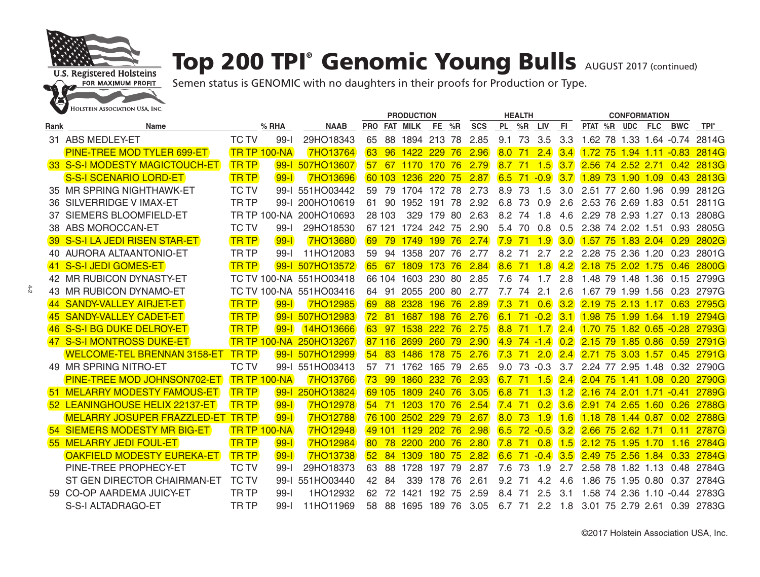

## Top 200 TPI® Genomic Young Bulls AUGUST 2017 (continued)

|      |                                          |              |                     |                         | <b>PRODUCTION</b> |        |                |                  |     |            | <b>HEALTH</b> |           |                   |     | <b>CONFORMATION</b>       |             |                |            |              |
|------|------------------------------------------|--------------|---------------------|-------------------------|-------------------|--------|----------------|------------------|-----|------------|---------------|-----------|-------------------|-----|---------------------------|-------------|----------------|------------|--------------|
| Rank | Name                                     |              | $%$ RHA             | <b>NAAB</b>             |                   |        | PRO FAT MILK   | FE %R            |     | <b>SCS</b> |               | PL %R LIV |                   | FI. | PTAT %R UDC FLC           |             |                | <b>BWC</b> | TPI°         |
|      | 31 ABS MEDLEY-ET                         | <b>TC TV</b> | 99-                 | 29HO18343               | 65                | 88     | 1894 213 78    |                  |     | 2.85       | 9.1           | 73        | 3.5               | 3.3 | 1.62 78 1.33 1.64 -0.74   |             |                |            | 2814G        |
|      | <b>PINE-TREE MOD TYLER 699-ET</b>        |              | TR TP 100-NA        | <b>7HO13764</b>         | 63                | 96     | 1422           | 229              | 76  | 2.96       | 8.0           | 71        | 2.4               | 3.4 | $1.72$ 75                 |             | $1.94$ 1.11    | $-0.83$    | 2814G        |
|      | 33 S-S-I MODESTY MAGICTOUCH-ET           | <b>TRTP</b>  |                     | 99-1 507HO13607         | 57                | 67     | 1170           | 170              | 76  | 2.79       | 8.7           | 71        | $-1.5$            | 3.7 | 2.56 74 2.52 2.71         |             |                | 0.42       | 2813G        |
|      | S-S-I SCENARIO LORD-ET                   | <b>TRTP</b>  | $99-1$              | 7HO13696                |                   | 60 103 | 1236           | 220 75           |     | 2.87       | 6.5           | 71        | $-0.9$            | 3.7 | 1.89 73 1.90 1.09         |             |                | 0.43       | 2813G        |
|      | 35 MR SPRING NIGHTHAWK-ET                | <b>TC TV</b> | $99 - 1$            | 551HO03442              | 59                | 79     | 1704           | 172 78           |     | 2.73       | 8.9           | 73        | 1.5               | 3.0 | 2.51 77 2.60 1.96         |             |                | 0.99       | 2812G        |
|      | 36 SILVERRIDGE V IMAX-ET                 | <b>TRTP</b>  | $99-1$              | 200HO10619              | 61                | 90     | 1952           | 191 78           |     | 2.92       | 6.8           | 73        | 0.9               | 2.6 | 2.53 76 2.69 1.83         |             |                | 0.51       | 2811G        |
|      | 37 SIEMERS BLOOMFIELD-ET                 |              | <b>TR TP 100-NA</b> | 200HO10693              |                   | 28 103 | 329            | 179 80           |     | 2.63       | 8.2           | 74        | 1.8               | 4.6 | 2.29 78 2.93 1.27         |             |                | 0.13       | 2808G        |
|      | 38 ABS MOROCCAN-ET                       | <b>TC TV</b> | $99-$               | 29HO18530               |                   | 67 121 | 1724 242 75    |                  |     | 2.90       | 5.4           | 70        | 0.8               | 0.5 | 2.38 74                   | 2.02 1.51   |                | 0.93       | 2805G        |
|      | 39 S-S-I LA JEDI RISEN STAR-ET           | <b>TRTP</b>  | $99 - 1$            | 7HO13680                | 69                | 79     | 1749           | 199 76           |     | 2.74       | 7.9           | 71        | 1.9               | 3.0 | $1.57$ 75                 |             | 1.83204        | 0.29       | 2802G        |
|      | 40 AURORA ALTAANTONIO-ET                 | <b>TRTP</b>  | $99 - 1$            | 11HO12083               | 59                |        | 94 1358 207 76 |                  |     | 2.77       | 8.2           | 71        | 2.7               | 2.2 | 2.28 75 2.36 1.20         |             |                | 0.23       | 2801G        |
|      | 41 S-S-I JEDI GOMES-ET                   | <b>TRTP</b>  | $99 - 1$            | 507HO13572              | 65                | 67     | 1809           | 173              | 76  | 2.84       | 8.6           | 71        | 1.8               | 4.2 | 2.18 75 2.02 1.75         |             |                | 0.46       | <b>2800G</b> |
|      | 42 MR RUBICON DYNASTY-ET                 |              |                     | TC TV 100-NA 551HO03418 |                   | 66 104 | 1603 230 80    |                  |     | 2.85       | 7.6           | 74        | 1.7               | 2.8 | 1.48 79 1.48 1.36         |             |                |            | 0.15 2799G   |
|      | 43 MR RUBICON DYNAMO-ET                  |              |                     | TC TV 100-NA 551HO03416 | 64                | -91    | 2055           | 200 80           |     | 2.77       | 7.7           | 74        | 2.1               | 2.6 | 1.67 79                   | 1.99 1.56   |                | 0.23       | 2797G        |
|      | 44 SANDY-VALLEY AIRJET-ET                | <b>TRTP</b>  | $99 - 1$            | 7HO12985                | 69                | 88     | 2328           | <b>196</b>       | 76  | 2.89       | 7.3           | 71        | 0.6               | 3.2 | 2.19<br>75                | 2.13 1.17   |                | 0.63       | 2795G        |
| 45   | <b>SANDY-VALLEY CADET-ET</b>             | <b>TRTP</b>  | $99 - 1$            | 507HO12983              | 72                | 81     | 1687           | 198 76           |     | 2.76       | 6.1           | 71        | $-0.2$            | 3.1 | 1.98 75                   | $1.99$ 1.64 |                | 1.19       | 2794G        |
|      | 46 S-S-I BG DUKE DELROY-ET               | <b>TR TP</b> | $99 - 1$            | 14HO13666               | <b>63</b>         | -97    | 1538           | 222 76           |     | 2.75       | 8.8           | 71        | $-1.7$            | 2.4 | $1.70$ 75 1.82 0.65 -0.28 |             |                |            | <b>2793G</b> |
|      | 47 S-S-I MONTROSS DUKE-ET                |              | <b>TR TP 100-NA</b> | 250HO13267              |                   | 87 116 | 2699           | 260, 79          |     | 2.90       | 4.9           |           | $74 - 14$         | 0.2 | 2.15, 79                  | 1.850.86    |                | 0.59       | 2791G        |
|      | <b>WELCOME-TEL BRENNAN 3158-ET</b>       | <b>TRTP</b>  | $99 - 1$            | 507HO12999              | 54                | -83    | 1486           | 178 75           |     | 2.76       | 7.3           |           | $71\quad2.0$      | 2.4 | 2.71 75 3.03 1.57         |             |                | 0.45       | 2791G        |
|      | 49 MR SPRING NITRO-ET                    | <b>TC TV</b> | $99 - 1$            | 551HO03413              | 57                | 71     | 1762           | 165 79           |     | 2.65       | 9.0           |           | 73 - 0.3          | 3.7 | 2.24 77 2.95 1.48         |             |                | 0.32       | 2790G        |
|      | <b>PINE-TREE MOD JOHNSON702-ET</b>       |              | <b>TR TP 100-NA</b> | 7HO13766                | 73                | -99    | 1860           | 232 76           |     | 2.93       | 6.7           | 71        | 1.5               | 2.4 | $2.04$ 75                 | 1.41        | $-1.08$        | 0.20       | 2790G        |
|      | 51 MELARRY MODESTY FAMOUS-ET             | <b>TRTP</b>  | $99 - 1$            | 250HO13824              |                   | 69 105 | 1809           | 240 76           |     | 3.05       | 6.8           | 71        | 1.3               | 1.2 | 2.16 74 2.01 1.71         |             |                | $-0.41$    | 2789G        |
|      | 52 LEANINGHOUSE HELIX 22137-ET           | <b>TR TP</b> | $99 - 1$            | 7HO12978                | 54                | -71    | 1203           | 170, 76          |     | 2.54       | 7.4           | 71        | $\vert 0.2 \vert$ | 3.6 | $2.91\,74$                | $2.65$ 1.60 |                | 0.26       | <b>2788G</b> |
|      | <b>MELARRY JOSUPER FRAZZLED-ET TR TP</b> |              | $99 - 1$            | 7HO12788                |                   | 76 100 | 2502           | 229              | 79  | 2.67       | 8.0           | 73        | 1.9               | 1.6 | 1.18 78                   | 144087      |                | 0.02       | 2788G        |
|      | <b>54 SIEMERS MODESTY MR BIG-ET</b>      |              | <b>TR TP 100-NA</b> | 7HO12948                |                   | 49 101 | 1129           | 202 76           |     | 2.98       | 6.5           |           | $72 - 0.5$        | 3.2 | 2.66 75 2.62 1.71         |             |                | 0.11       | 2787G        |
|      | <b>55 MELARRY JEDI FOUL-ET</b>           | <b>TRTP</b>  | $99 - 1$            | 7HO12984                | 80                | 78     | 2200           | 200 <sub>1</sub> | 76  | 2.80       | 7.8           | 71        | 0.8               | 1.5 | 2.12<br>75                |             | $1.95$ 1.70    | 1.16       | 2784G        |
|      | <b>OAKFIELD MODESTY EUREKA-ET</b>        | <b>TR TP</b> | $99 - 1$            | 7HO13738                | 52                | 84     | 1309           | 180, 75          |     | 2.82       | 6.6           | 71        | $-0.4$            | 3.5 | 2.49 75 2.56 1.84         |             |                | 0.33       | 2784G        |
|      | PINE-TREE PROPHECY-ET                    | <b>TC TV</b> | $99-I$              | 29HO18373               | 63                | 88     | 1728           | 197 79           |     | 2.87       | 7.6           | 73        | 1.9               | 2.7 | 2.58 78 1.82 1.13         |             |                | 0.48       | 2784G        |
|      | ST GEN DIRECTOR CHAIRMAN-ET              | <b>TC TV</b> | $99 - 1$            | 551HO03440              | 42                | -84    | 339            | 178              | -76 | 2.61       | 9.2           | -71       | 4.2               | 4.6 | 1.86 75                   |             | 1.95 0.80 0.37 |            | 2784G        |
|      | 59 CO-OP AARDEMA JUICY-ET                | <b>TRTP</b>  | $99 - 1$            | 1HO12932                | 62                | 72     | 1421           | 192 75           |     | 2.59       | 8.4           | -71       | 2.5               | 3.1 | 1.58 74 2.36 1.10 -0.44   |             |                |            | 2783G        |
|      | S-S-I ALTADRAGO-ET                       | <b>TRTP</b>  | $99 - 1$            | 11HO11969               | 58                | 88     | 1695           | 189 76           |     | 3.05       |               | 6.7 71    | 2.2               | 1.8 | 3.01 75 2.79 2.61 0.39    |             |                |            | 2783G        |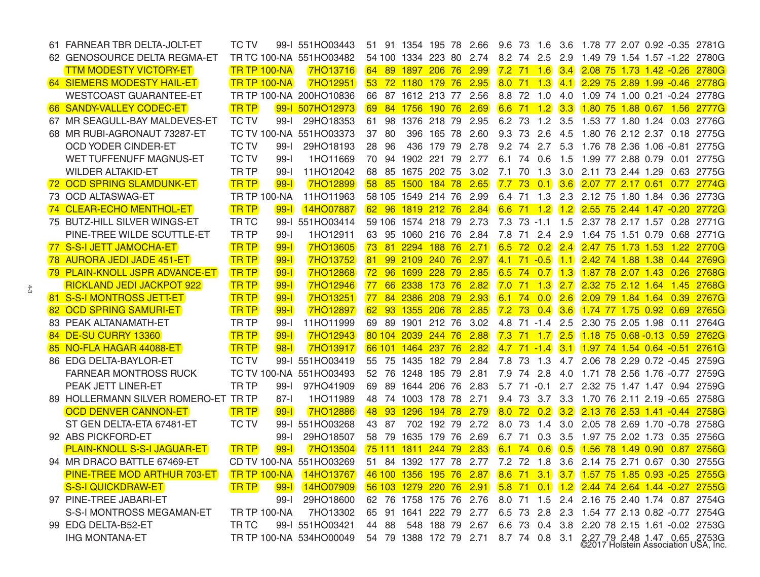| 61 FARNEAR TBR DELTA-JOLT-ET         | <b>TC TV</b>        |          | 99-I 551HO03443               | 51              |                 | 91 1354 195 78          |         | 2.66                                  | 9.6 73 1.6     |      |                   |                   | 3.6 1.78 77 2.07 0.92 -0.35 2781G                                    |  |      |       |
|--------------------------------------|---------------------|----------|-------------------------------|-----------------|-----------------|-------------------------|---------|---------------------------------------|----------------|------|-------------------|-------------------|----------------------------------------------------------------------|--|------|-------|
| 62 GENOSOURCE DELTA REGMA-ET         |                     |          | TR TC 100-NA 551HO03482       |                 |                 | 54 100 1334 223 80 2.74 |         |                                       | 8.2 74 2.5     |      |                   | 2.9               | 1.49 79 1.54 1.57 -1.22 2780G                                        |  |      |       |
| <b>TTM MODESTY VICTORY-ET</b>        | <b>TR TP 100-NA</b> |          | <b>7HO13716</b>               | <b>64</b>       | <b>89</b>       | 1897                    | 206, 76 | 2.99                                  |                |      |                   | $7.2$ 71 1.6 3.4  | 2.08 75 1.73 1.42 -0.26 2780G                                        |  |      |       |
| <b>64 SIEMERS MODESTY HAIL-ET</b>    | <b>TR TP 100-NA</b> |          | <b>7HO12951</b>               |                 |                 | 53 72 1180 179 76 2.95  |         |                                       | $8.0$ 71 1.3   |      |                   | (4.1)             | 2.29 75 2.89 1.99 -0.46 2778G                                        |  |      |       |
| <b>WESTCOAST GUARANTEE-ET</b>        |                     |          | TR TP 100-NA 200HO10836       | 66              |                 | 87 1612 213 77 2.56     |         |                                       | 8.8 72 1.0     |      |                   | 4.0               | 1.09 74 1.00 0.21 -0.24 2778G                                        |  |      |       |
| 66 SANDY-VALLEY CODEC-ET             | <b>TRTP</b>         |          | 99-1 507HO12973               | 69              |                 | 84 1756 190 76 2.69     |         |                                       | $6.6$ 71 1.2   |      |                   |                   | 3.3 1.80 75 1.88 0.67 1.56 2777G                                     |  |      |       |
| 67 MR SEAGULL-BAY MALDEVES-ET        | <b>TC TV</b>        | $99-I$   | 29HO18353                     | 61              |                 | 98 1376 218 79          |         | 2.95                                  | 6.2 73         |      | 1.2               | 3.5               | 1.53 77 1.80 1.24 0.03 2776G                                         |  |      |       |
| 68 MR RUBI-AGRONAUT 73287-ET         |                     |          | TC TV 100-NA 551HO03373       | 37              | 80              | 396                     | 165 78  | 2.60                                  | 9.3 73         |      | 2.6               | 4.5               | 1.80 76 2.12 2.37 0.18 2775G                                         |  |      |       |
| <b>OCD YODER CINDER-ET</b>           | <b>TC TV</b>        | $99-I$   | 29HO18193                     | 28              | 96              | 436                     | 179 79  | 2.78                                  | 9.2 74         |      |                   | $2.7$ 5.3         | 1.76 78 2.36 1.06 -0.81 2775G                                        |  |      |       |
| WET TUFFENUFF MAGNUS-ET              | <b>TC TV</b>        | $99-I$   | 1HO11669                      | 70              | 94              | 1902 221 79             |         | 2.77                                  | 6.1 74         |      | 0.6               | 1.5               | 1.99 77 2.88 0.79 0.01 2775G                                         |  |      |       |
| <b>WILDER ALTAKID-ET</b>             | <b>TRTP</b>         | $99-I$   | 11HO12042                     | 68              | 85              | 1675 202 75             |         | 3.02                                  | 7.1 70         |      | 1.3               | 3.0               | 2.11 73 2.44 1.29 0.63 2775G                                         |  |      |       |
| 72 OCD SPRING SLAMDUNK-ET            | <b>TRTP</b>         | $99 - 1$ | <b>7HO12899</b>               | 58 <sup>°</sup> | 85              | <u> 1500 - </u>         |         | 184 78 2.65                           | $7.7$ 73       |      | $\vert 0.1 \vert$ | 3.6               | 2.07 77 2.17 0.61 0.77 2774G                                         |  |      |       |
| 73 OCD ALTASWAG-ET                   | <b>TR TP 100-NA</b> |          | 11HO11963                     |                 |                 | 58 105 1549 214 76      |         | 2.99                                  | 6.4 71 1.3     |      |                   |                   | 2.3 2.12 75 1.80 1.84 0.36 2773G                                     |  |      |       |
| 74 CLEAR-ECHO MENTHOL-ET             | <b>TRTP</b>         | $99 - 1$ | 14HO07887                     |                 | 62 96           | 1819 212 76 2.84        |         |                                       |                |      |                   | $6.6$ 71 1.2 1.2  | 2.55 75 2.44 1.47 -0.20 2772G                                        |  |      |       |
| 75 BUTZ-HILL SILVER WINGS-ET         | TR TC               |          | 99-I 551HO03414               |                 |                 | 59 106 1574 218 79 2.73 |         |                                       |                |      |                   |                   | 7.3 73 -1.1 1.5 2.37 78 2.17 1.57 0.28 2771G                         |  |      |       |
| PINE-TREE WILDE SCUTTLE-ET           | TR TP               | $99-I$   | 1HO12911                      |                 |                 | 63 95 1060 216 76       |         | 2.84                                  |                |      |                   | 7.8 71 2.4 2.9    | 1.64 75 1.51 0.79 0.68 2771G                                         |  |      |       |
| 77 S-S-I JETT JAMOCHA-ET             | <b>TRTP</b>         | $99-1$   | <b>7HO13605</b>               | 73.             | 81              | 2294 188 76 2.71        |         |                                       | $6.5$ 72 0.2   |      |                   | 2.4               | 2.47 75 1.73 1.53 1.22 2770G                                         |  |      |       |
| 78 AURORA JEDI JADE 451-ET           | <b>TRTP</b>         | $99-1$   | <b>7HO13752</b>               | 81              |                 | 99 2109 240 76 2.97     |         |                                       | $4.1$ 71 - 0.5 |      |                   | (1.1)             | 2.42 74 1.88 1.38 0.44 2769G                                         |  |      |       |
| 79 PLAIN-KNOLL JSPR ADVANCE-ET       | <b>TRTP</b>         | $99 - 1$ | <b>7HO12868</b>               |                 |                 | 72 96 1699 228 79       |         | 2.85                                  | $6.5$ 74 0.7   |      |                   | $\vert 1.3 \vert$ | 1.87 78 2.07 1.43 0.26 2768G                                         |  |      |       |
| <b>RICKLAND JEDI JACKPOT 922</b>     | <b>TRTP</b>         | $99-I$   | 7HO12946                      | 77              | 66              | 2338                    | 173 76  | 2.82                                  | $7.0$ 71       |      | $-1.3$            | 2.7               | 2.32 75 2.12 1.64 1.45 2768G                                         |  |      |       |
| 81 S-S-I MONTROSS JETT-ET            | <b>TRTP</b>         | $99-1$   | <b>7HO13251</b>               | 77              | 84              | 2386                    |         | 208 79 2.93                           | 6.1, 74        |      | $\vert 0.0 \vert$ | 2.6               | 2.09 79 1.84 1.64 0.39 2767G                                         |  |      |       |
| 82 OCD SPRING SAMURI-ET              | <b>TRTP</b>         | $99 - 1$ | 7HO12897                      |                 |                 | 62 93 1355 206 78 2.85  |         |                                       | $7.2$ 73 0.4   |      |                   | $\vert 3.6 \vert$ | 1.74 77 1.75 0.92 0.69 2765G                                         |  |      |       |
| 83 PEAK ALTANAMATH-ET                | TR TP               | $99-I$   | 11HO11999                     | 69              |                 | 89 1901 212 76          |         | 3.02                                  |                |      |                   | 4.8 71 -1.4 2.5   | 2.30 75 2.05 1.98 0.11 2764G                                         |  |      |       |
| <b>84 DE-SU CURRY 13360</b>          | <b>TRTP</b>         | $99 - 1$ | <b>7HO12943</b>               |                 |                 | 80 104 2039 244 76 2.88 |         |                                       |                |      |                   |                   | 7.3 71 1.7 2.5 1.18 75 0.68 -0.13 0.59 2762G                         |  |      |       |
| 85 NO-FLA HAGAR 44088-ET             | <b>TRTP</b>         | $98-1$   | <b>7HO13917</b>               |                 |                 | 66 101 1464 237 76 2.82 |         |                                       | $4.7$ 71 -1.4  |      |                   |                   | 3.1 1.97 74 1.54 0.64 -0.51 2761G                                    |  |      |       |
| 86 EDG DELTA-BAYLOR-ET               | <b>TC TV</b>        |          | 99-I 551HO03419               | 55              | 75              | 1435 182 79             |         | 2.84                                  | 7.8            | 73   | 1.3               | 4.7               | 2.06 78 2.29 0.72 -0.45 2759G                                        |  |      |       |
| <b>FARNEAR MONTROSS RUCK</b>         |                     |          | TC TV 100-NA 551HO03493       |                 |                 | 52 76 1248 185 79       |         | 2.81                                  | 7.9 74 2.8     |      |                   | 4.0               | 1.71 78 2.56 1.76 -0.77 2759G                                        |  |      |       |
| PEAK JETT LINER-ET                   | TR TP               | $99-I$   | 97HO41909                     | 69              |                 | 89 1644 206 76          |         | 2.83                                  |                |      |                   |                   | 5.7 71 -0.1 2.7 2.32 75 1.47 1.47 0.94 2759G                         |  |      |       |
| 89 HOLLERMANN SILVER ROMERO-ET TR TP |                     | $87-I$   | 1HO11989                      | 48              |                 | 74 1003 178 78          |         | 2.71                                  |                |      |                   |                   | 9.4 73 3.7 3.3 1.70 76 2.11 2.19 -0.65 2758G                         |  |      |       |
| <b>OCD DENVER CANNON-ET</b>          | <b>TRTP</b>         | $99 - 1$ | <b>7HO12886</b>               | 48              | 93 <sup>°</sup> | 1296                    |         | 194 78 2.79                           | $8.0$ 72 0.2   |      |                   | $\overline{3.2}$  | 2.13 76 2.53 1.41 -0.44 2758G                                        |  |      |       |
| ST GEN DELTA-ETA 67481-ET            | <b>TC TV</b>        | 99-l     | 551HO03268                    | 43              | 87              | 702                     | 192 79  | 2.72                                  | 8.0            | 73   | 1.4               | 3.0               | 2.05 78 2.69 1.70 -0.78 2758G                                        |  |      |       |
| 92 ABS PICKFORD-ET                   |                     | $99-I$   | 29HO18507                     | 58              | 79              | 1635                    | 179 76  | 2.69                                  | 6.7 71         |      | 0.3               | 3.5               | 1.97 75 2.02 1.73 0.35 2756G                                         |  |      |       |
| <b>PLAIN-KNOLL S-S-I JAGUAR-ET</b>   | <b>TRTP</b>         | $99 - 1$ | <b>7HO13504</b>               | 75 111          |                 | 1811                    | 244 79  | 2.83                                  | 6.1            | - 74 | 0.6               | $\overline{0.5}$  | 1.56 78 1.49 0.90                                                    |  | 0.87 | 2756G |
| 94 MR DRACO BATTLE 67469-ET          |                     |          | CD TV 100-NA 551HO03269       |                 |                 | 51 84 1392 177 78 2.77  |         |                                       |                |      |                   |                   | 7.2 72 1.8 3.6 2.14 75 2.71 0.67 0.30 2755G                          |  |      |       |
| <b>PINE-TREE MOD ARTHUR 703-ET</b>   |                     |          | <b>TR TP 100-NA</b> 14HO13767 |                 |                 |                         |         |                                       |                |      |                   |                   | 46 100 1356 195 76 2.87 8.6 71 3.1 3.7 1.57 75 1.85 0.93 -0.25 2755G |  |      |       |
| <b>S-S-I QUICKDRAW-ET</b>            | <b>TRTP</b>         | $99-1$   | 14HO07909                     |                 |                 |                         |         |                                       |                |      |                   |                   | 56 103 1279 220 76 2.91 5.8 71 0.1 1.2 2.44 74 2.64 1.44 -0.27 2755G |  |      |       |
| 97 PINE-TREE JABARI-ET               |                     | $99-I$   | 29HO18600                     |                 |                 |                         |         |                                       |                |      |                   |                   | 62 76 1758 175 76 2.76 8.0 71 1.5 2.4 2.16 75 2.40 1.74 0.87 2754G   |  |      |       |
| S-S-I MONTROSS MEGAMAN-ET            | <b>TR TP 100-NA</b> |          | 7HO13302                      |                 |                 | 65 91 1641 222 79 2.77  |         |                                       |                |      |                   |                   | 6.5 73 2.8 2.3 1.54 77 2.13 0.82 -0.77 2754G                         |  |      |       |
| 99 EDG DELTA-B52-ET                  | TR TC               |          | 99-I 551HO03421               |                 | 44 88           |                         |         |                                       |                |      |                   |                   | 548 188 79 2.67 6.6 73 0.4 3.8 2.20 78 2.15 1.61 -0.02 2753G         |  |      |       |
| <b>IHG MONTANA-ET</b>                |                     |          | TR TP 100-NA 534HO00049       |                 |                 |                         |         | 54 79 1388 172 79 2.71 8.7 74 0.8 3.1 |                |      |                   |                   | 2.27 79 2.48 1.47 0.65 2753G<br>©2017 Holstein Association USA, Inc. |  |      |       |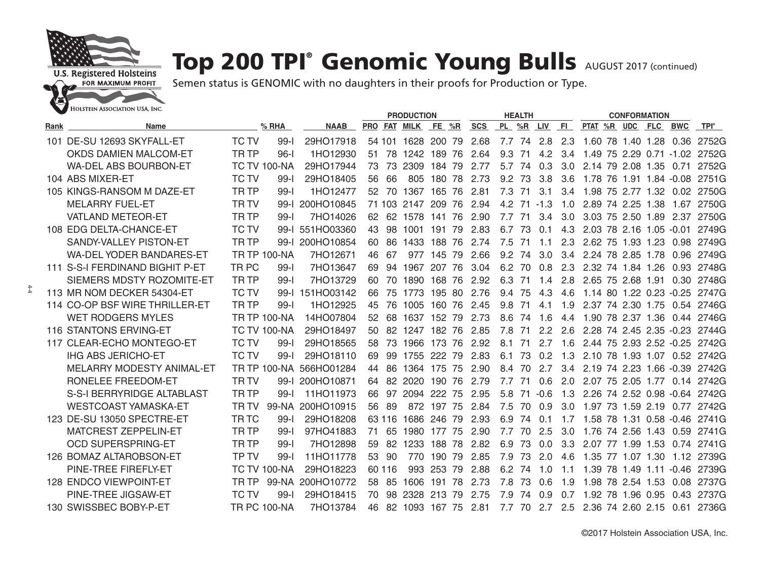

## Top 200 TPI® Genomic Young Bulls AUGUST 2017 (continued)

|      |                                 |                  |                     |                  | <b>PRODUCTION</b> |        |                |        |      |            |           | <b>HEALTH</b> |               |     | <b>CONFORMATION</b>           |              |                    |                    |            |
|------|---------------------------------|------------------|---------------------|------------------|-------------------|--------|----------------|--------|------|------------|-----------|---------------|---------------|-----|-------------------------------|--------------|--------------------|--------------------|------------|
| Rank | Name                            |                  | $%$ RHA             | <b>NAAB</b>      |                   |        | PRO FAT MILK   | FE %R  |      | <b>SCS</b> | PL %R LIV |               |               | FL. | PTAT %R UDC FLC               |              |                    | <b>BWC</b>         | TPI®       |
|      | 101 DE-SU 12693 SKYFALL-ET      | <b>TC TV</b>     | $99-1$              | 29HO17918        |                   |        | 54 101 1628    | 200    | 79   | 2.68       | 7.7       | 74            | 2.8           | 2.3 | 1.60 78 1.40 1.28             |              |                    | 0.36               | 2752G      |
|      | <b>OKDS DAMIEN MALCOM-ET</b>    | TR <sub>TP</sub> | $96-I$              | 1HO12930         | 51                | 78     | 1242           | 189    | 76   | 2.64       | 9.3       | 71            | 4.2           | 3.4 | 1.49                          |              |                    | 75 2.29 0.71 -1.02 | 2752G      |
|      | <b>WA-DEL ABS BOURBON-ET</b>    |                  | <b>TC TV 100-NA</b> | 29HO17944        | 73                | 73     | 2309           | 184    | - 79 | 2.77       | 5.7       | - 74          | 0.3           | 3.0 | 2.14 79 2.08 1.35             |              |                    | 0.71               | 2752G      |
|      | 104 ABS MIXER-ET                | <b>TC TV</b>     | $99 - 1$            | 29HO18405        | 56                | 66     | 805            | 180    | 78   | 2.73       | 9.2       | 73            | 3.8           | 3.6 | 1.78                          |              |                    | 76 1.91 1.84 -0.08 | 2751G      |
|      | 105 KINGS-RANSOM M DAZE-ET      | TR <sub>TP</sub> | $99 - 1$            | 1HO12477         | $52^{\circ}$      |        | 70 1367        | 165    | 76   | 2.81       | 7.3       | -71           | 3.1           | 3.4 | 1.98 75 2.77 1.32 0.02        |              |                    |                    | 2750G      |
|      | <b>MELARRY FUEL-ET</b>          | <b>TRTV</b>      | $99 - 1$            | 200HO10845       |                   |        | 71 103 2147    | 209    | 76   | 2.94       |           |               | $4.2$ 71 -1.3 | 1.0 | 2.89 74 2.25 1.38             |              |                    | 1.67               | 2750G      |
|      | <b>VATLAND METEOR-ET</b>        | <b>TRTP</b>      | $99-$               | 7HO14026         | 62                |        | 62 1578        | 141    | 76   | 2.90       | 7.7       | 71            | 3.4           | 3.0 | 3.03                          | 75 2.50 1.89 |                    | 2.37               | 2750G      |
|      | 108 EDG DELTA-CHANCE-ET         | <b>TC TV</b>     |                     | 99-I 551HO03360  | 43                | 98     | 1001           | 191    | 79   | 2.83       | 6.7       | 73            | 0.1           | 4.3 | 2.03                          |              | 78 2.16 1.05 -0.01 |                    | 2749G      |
|      | SANDY-VALLEY PISTON-ET          | <b>TRTP</b>      | $99-I$              | 200HO10854       | 60                | 86     | 1433           | 188    | 76   | 2.74       | 7.5       | -71           | 1.1           | 2.3 | 2.62 75 1.93 1.23             |              |                    | 0.98               | 2749G      |
|      | <b>WA-DEL YODER BANDARES-ET</b> |                  | <b>TR TP 100-NA</b> | 7HO12671         | 46                | 67     | 977            | 145    | 79   | 2.66       | 9.2       | 74            | 3.0           | 3.4 | 2.24 78 2.85 1.78             |              |                    | 0.96               | 2749G      |
|      | 111 S-S-I FERDINAND BIGHIT P-ET | TR PC            | $99 - 1$            | 7HO13647         | 69                | 94     | 1967           | 207    | 76   | 3.04       | 6.2 70    |               | 0.8           | 2.3 | 2.32 74 1.84 1.26             |              |                    |                    | 0.93 2748G |
|      | SIEMERS MDSTY ROZOMITE-ET       | TR <sub>TP</sub> | $99-$               | 7HO13729         | 60                |        | 70 1890        | 168 76 |      | 2.92       | 6.3       | -71           | 1.4           | 2.8 | 2.65 75 2.68 1.91             |              |                    |                    | 0.30 2748G |
|      | 113 MR NOM DECKER 54304-ET      | <b>TC TV</b>     | $99-I$              | 151HO03142       | 66                | 75     | 1773           | 195 80 |      | 2.76       | 9.4       | 75            | 4.3           | 4.6 | 1.14 80 1.22 0.23 -0.25       |              |                    |                    | 2747G      |
|      | 114 CO-OP BSF WIRE THRILLER-ET  | TR <sub>TP</sub> | $99-I$              | 1HO12925         | 45                | 76     | 1005           | 160    | 76   | 2.45       | 9.8       | 71            | 4.1           | 1.9 | 2.37 74 2.30 1.75             |              |                    |                    | 0.54 2746G |
|      | <b>WET RODGERS MYLES</b>        |                  | <b>TR TP 100-NA</b> | 14HO07804        | 52                | 68     | 1637           | 152    | -79  | 2.73       | 8.6       | -74           | 1.6           | 4.4 | 1.90 78 2.37 1.36             |              |                    |                    | 0.44 2746G |
|      | <b>116 STANTONS ERVING-ET</b>   |                  | <b>TC TV 100-NA</b> | 29HO18497        | 50                |        | 82 1247        | 182 76 |      | 2.85       | 7.8       | -71           | 2.2           | 2.6 | 2.28 74 2.45 2.35 -0.23       |              |                    |                    | 2744G      |
|      | 117 CLEAR-ECHO MONTEGO-ET       | <b>TC TV</b>     | $99 - 1$            | 29HO18565        | 58                | 73     | 1966           | 173    | 76   | 2.92       | 8.1       | 71            | 2.7           | 1.6 | 2.44 75 2.93 2.52 -0.25 2742G |              |                    |                    |            |
|      | <b>IHG ABS JERICHO-ET</b>       | <b>TC TV</b>     | $99-1$              | 29HO18110        | 69                | 99     | 1755           | 222    | 79   | 2.83       | 6.1       | 73            | 0.2           | 1.3 | 2.10 78 1.93 1.07 0.52 2742G  |              |                    |                    |            |
|      | MELARRY MODESTY ANIMAL-ET       |                  | <b>TR TP 100-NA</b> | 566HO01284       | 44                | 86     | 1364           | 175    | 75   | 2.90       | 8.4       | 70            | 2.7           | 3.4 | 2.19                          |              |                    | 74 2.23 1.66 -0.39 | 2742G      |
|      | RONELEE FREEDOM-ET              | <b>TRTV</b>      | $99 - 1$            | 200HO10871       | 64                | 82     | 2020           | 190    | 76   | 2.79       | 7.7       | -71           | 0.6           | 2.0 | 2.07 75 2.05 1.77             |              |                    |                    | 0.14 2742G |
|      | S-S-I BERRYRIDGE ALTABLAST      | <b>TRTP</b>      | $99-$               | 11HO11973        | 66                | 97     | 2094           | 222    | 75   | 2.95       | 5.8       | 71            | $-0.6$        | 1.3 | 2.26 74 2.52 0.98 -0.64 2742G |              |                    |                    |            |
|      | <b>WESTCOAST YAMASKA-ET</b>     | TR TV            | 99-NA               | 200HO10915       | 56                | -89    | 872            | 197 75 |      | 2.84       | 7.5       | 70            | 0.9           | 3.0 | 1.97 73 1.59 2.19             |              |                    | 0.77               | 2742G      |
|      | 123 DE-SU 13050 SPECTRE-ET      | <b>TRTC</b>      | $99 - 1$            | 29HO18208        |                   | 63 116 | 1686           | 246    | - 79 | 2.93       | 6.9       | 74            | 0.1           | 17  | 1.58 78 1.31 0.58 -0.46 2741G |              |                    |                    |            |
|      | MATCREST ZEPPELIN-ET            | TR <sub>TP</sub> | $99-I$              | 97HO41883        | 71                | 65     | 1980           | 177    | 75   | 2.90       | 7.7       | 70            | 2.5           | 3.0 | 1.76 74 2.56 1.43             |              |                    |                    | 0.59 2741G |
|      | <b>OCD SUPERSPRING-ET</b>       | TR <sub>TP</sub> | $99-I$              | 7HO12898         | 59                | 82     | 1233           | 188    | 78   | 2.82       | 6.9       | 73            | 0.0           | 3.3 | 2.07                          | 77 1.99 1.53 |                    |                    | 0.74 2741G |
|      | 126 BOMAZ ALTAROBSON-ET         | <b>TPTV</b>      | $99-$               | 11HO11778        |                   | 53 90  | 770.           | 190    | 79   | 2.85       | 7.9       | 73            | 2.0           | 4.6 | 1.35 77 1.07 1.30             |              |                    |                    | 1.12 2739G |
|      | PINE-TREE FIREFLY-ET            |                  | <b>TC TV 100-NA</b> | 29HO18223        |                   | 60 116 | 993            | 253    | 79   | 2.88       | 6.2 74    |               | 1.0           | 1.1 | 1.39                          | 78 1.49 1.11 |                    | $-0.46$            | 2739G      |
|      | <b>128 ENDCO VIEWPOINT-ET</b>   | TR TP            |                     | 99-NA 200HO10772 | 58                | -85    | 1606           | 191    | 78   | 2.73       | 7.8       | 73            | 0.6           | 1.9 | 1.98                          | 78 2.54 1.53 |                    | 0.08               | 2737G      |
|      | PINE-TREE JIGSAW-ET             | <b>TC TV</b>     | $99-1$              | 29HO18415        | 70                | 98     | 2328           | 213    | 79   | 2.75       | 7.9       | -74           | 0.9           | 0.7 | 1.92 78 1.96 0.95             |              |                    | 0.43               | 2737G      |
|      | 130 SWISSBEC BOBY-P-ET          |                  | <b>TR PC 100-NA</b> | 7HO13784         | 46                |        | 82 1093 167 75 |        |      | 2.81       | 7.7       | 70            | 2.7           | 2.5 | 2.36 74 2.60 2.15             |              |                    | 0.61               | 2736G      |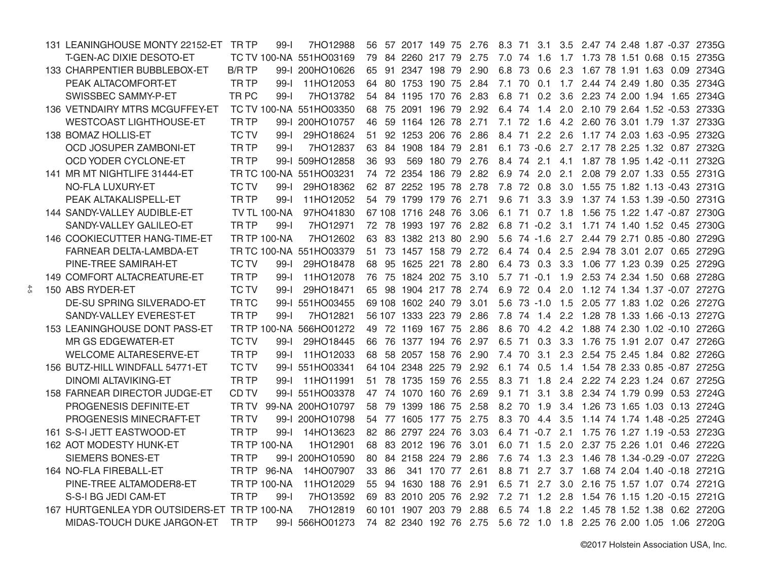| 131 LEANINGHOUSE MONTY 22152-ET TR TP        |                  | $99 - 1$            | 7HO12988                | 56 |       | 57 2017 149 75 2.76    |        |                 | 8.3 71     |                 |           |  |  | 3.1 3.5 2.47 74 2.48 1.87 -0.37 2735G         |
|----------------------------------------------|------------------|---------------------|-------------------------|----|-------|------------------------|--------|-----------------|------------|-----------------|-----------|--|--|-----------------------------------------------|
| T-GEN-AC DIXIE DESOTO-ET                     |                  |                     | TC TV 100-NA 551HO03169 | 79 |       | 84 2260                | 217 79 | 2.75            |            | 7.0 74 1.6      |           |  |  | 1.7 1.73 78 1.51 0.68 0.15 2735G              |
| 133 CHARPENTIER BUBBLEBOX-ET                 | <b>B/R TP</b>    |                     | 99-1 200HO10626         | 65 | -91   | 2347 198 79            |        | 2.90            | 6.8 73     | 0.6             | 2.3       |  |  | 1.67 78 1.91 1.63 0.09 2734G                  |
| PEAK ALTACOMFORT-ET                          | TR TP            | $99 - 1$            | 11HO12053               | 64 |       | 80 1753                | 190 75 | 2.84            | 7.1 70 0.1 |                 | 1.7       |  |  | 2.44 74 2.49 1.80 0.35 2734G                  |
| SWISSBEC SAMMY-P-ET                          | TR <sub>PC</sub> | $99 - 1$            | 7HO13782                |    |       | 54 84 1195 170 76      |        | 2.83            | 6.8 71     | 0.2             | 3.6       |  |  | 2.23 74 2.00 1.94 1.65 2734G                  |
| 136 VETNDAIRY MTRS MCGUFFEY-ET               |                  |                     | TC TV 100-NA 551HO03350 |    |       | 68 75 2091             | 196 79 | 2.92            |            |                 |           |  |  | 6.4 74 1.4 2.0 2.10 79 2.64 1.52 -0.53 2733G  |
| <b>WESTCOAST LIGHTHOUSE-ET</b>               | <b>TRTP</b>      |                     | 99-I 200HO10757         | 46 |       | 59 1164 126 78         |        | 2.71            |            |                 |           |  |  | 7.1 72 1.6 4.2 2.60 76 3.01 1.79 1.37 2733G   |
| 138 BOMAZ HOLLIS-ET                          | <b>TC TV</b>     | $99-I$              | 29HO18624               | 51 |       | 92 1253 206 76         |        | 2.86            |            |                 |           |  |  | 8.4 71 2.2 2.6 1.17 74 2.03 1.63 -0.95 2732G  |
| OCD JOSUPER ZAMBONI-ET                       | <b>TRTP</b>      | $99-I$              | 7HO12837                |    |       | 63 84 1908 184 79 2.81 |        |                 |            |                 |           |  |  | 6.1 73 -0.6 2.7 2.17 78 2.25 1.32 0.87 2732G  |
| OCD YODER CYCLONE-ET                         | <b>TRTP</b>      |                     | 99-I 509HO12858         | 36 | -93   |                        |        | 569 180 79 2.76 |            | 8.4 74 2.1      |           |  |  | 4.1 1.87 78 1.95 1.42 -0.11 2732G             |
| 141 MR MT NIGHTLIFE 31444-ET                 |                  |                     | TR TC 100-NA 551HO03231 |    |       | 74 72 2354 186 79 2.82 |        |                 |            |                 |           |  |  | 6.9 74 2.0 2.1 2.08 79 2.07 1.33 0.55 2731G   |
| NO-FLA LUXURY-ET                             | <b>TC TV</b>     | $99-I$              | 29HO18362               |    |       | 62 87 2252 195 78      |        | 2.78            |            | 7.8 72 0.8      |           |  |  | 3.0 1.55 75 1.82 1.13 -0.43 2731G             |
| PEAK ALTAKALISPELL-ET                        | <b>TRTP</b>      | $99-I$              | 11HO12052               |    |       | 54 79 1799 179 76 2.71 |        |                 | 9.6 71     |                 |           |  |  | 3.3 3.9 1.37 74 1.53 1.39 -0.50 2731G         |
| 144 SANDY-VALLEY AUDIBLE-ET                  |                  | <b>TV TL 100-NA</b> | 97HO41830               |    |       | 67 108 1716 248 76     |        | 3.06            |            |                 |           |  |  | 6.1 71 0.7 1.8 1.56 75 1.22 1.47 -0.87 2730G  |
| SANDY-VALLEY GALILEO-ET                      | <b>TRTP</b>      | $99-I$              | 7HO12971                |    |       | 72 78 1993 197 76      |        | 2.82            |            |                 |           |  |  | 6.8 71 -0.2 3.1 1.71 74 1.40 1.52 0.45 2730G  |
| 146 COOKIECUTTER HANG-TIME-ET                |                  | <b>TR TP 100-NA</b> | 7HO12602                |    |       | 63 83 1382 213 80 2.90 |        |                 |            | $5.6$ 74 -1.6   |           |  |  | 2.7 2.44 79 2.71 0.85 -0.80 2729G             |
| FARNEAR DELTA-LAMBDA-ET                      |                  |                     | TR TC 100-NA 551HO03379 |    |       | 51 73 1457 158 79 2.72 |        |                 |            | 6.4 74 0.4      |           |  |  | 2.5 2.94 78 3.01 2.07 0.65 2729G              |
| PINE-TREE SAMIRAH-ET                         | <b>TC TV</b>     | $99 - 1$            | 29HO18478               | 68 | 95    | 1625 221 78            |        | 2.80            |            | 6.4 73 0.3      |           |  |  | 3.3 1.06 77 1.23 0.39 0.25 2729G              |
| 149 COMFORT ALTACREATURE-ET                  | TR <sub>TP</sub> | $99-I$              | 11HO12078               |    | 76 75 | 1824 202 75            |        | 3.10            |            | $5.7$ $71 -0.1$ | 1.9       |  |  | 2.53 74 2.34 1.50 0.68 2728G                  |
| 150 ABS RYDER-ET                             | <b>TC TV</b>     | $99-1$              | 29HO18471               |    |       | 65 98 1904 217 78      |        | 2.74            |            | 6.9 72 0.4      | 2.0       |  |  | 1.12 74 1.34 1.37 -0.07 2727G                 |
| DE-SU SPRING SILVERADO-ET                    | TR <sub>TC</sub> |                     | 99-I 551HO03455         |    |       | 69 108 1602 240 79     |        | 3.01            |            |                 |           |  |  | 5.6 73 -1.0 1.5 2.05 77 1.83 1.02 0.26 2727G  |
| SANDY-VALLEY EVEREST-ET                      | <b>TRTP</b>      | $99-1$              | 7HO12821                |    |       | 56 107 1333 223 79     |        | 2.86            |            | 7.8 74 1.4      |           |  |  | 2.2 1.28 78 1.33 1.66 -0.13 2727G             |
| 153 LEANINGHOUSE DONT PASS-ET                |                  |                     | TR TP 100-NA 566HO01272 |    | 49 72 | 1169 167 75            |        | 2.86            |            | 8.6 70 4.2      |           |  |  | 4.2 1.88 74 2.30 1.02 -0.10 2726G             |
| MR GS EDGEWATER-ET                           | <b>TC TV</b>     | $99-I$              | 29HO18445               |    | 66 76 | 1377 194 76            |        | 2.97            | 6.5 71     |                 |           |  |  | 0.3 3.3 1.76 75 1.91 2.07 0.47 2726G          |
| <b>WELCOME ALTARESERVE-ET</b>                | <b>TRTP</b>      | $99 - 1$            | 11HO12033               |    |       | 68 58 2057 158 76      |        | 2.90            | 7.4 70     | 3.1             | 2.3       |  |  | 2.54 75 2.45 1.84 0.82 2726G                  |
| 156 BUTZ-HILL WINDFALL 54771-ET              | <b>TC TV</b>     |                     | 99-I 551HO03341         |    |       | 64 104 2348 225 79     |        | 2.92            |            | 6.1 74 0.5      |           |  |  | 1.4 1.54 78 2.33 0.85 -0.87 2725G             |
| <b>DINOMI ALTAVIKING-ET</b>                  | <b>TRTP</b>      | $99 - 1$            | 11HO11991               |    | 51 78 | 1735 159 76            |        | 2.55            | 8.3 71     | 1.8             | 2.4       |  |  | 2.22 74 2.23 1.24 0.67 2725G                  |
| 158 FARNEAR DIRECTOR JUDGE-ET                | CD TV            |                     | 99-I 551HO03378         |    |       | 47 74 1070 160 76      |        | 2.69            | 9.1 71     | 3.1             | 3.8       |  |  | 2.34 74 1.79 0.99 0.53 2724G                  |
| PROGENESIS DEFINITE-ET                       | TR TV            |                     | 99-NA 200HO10797        |    | 58 79 | 1399                   | 186 75 | 2.58            |            | 8.2 70 1.9      |           |  |  | 3.4 1.26 73 1.65 1.03 0.13 2724G              |
| PROGENESIS MINECRAFT-ET                      | <b>TRTV</b>      |                     | 99-I 200HO10798         |    |       | 54 77 1605 177 75      |        | 2.75            |            | 8.3 70 4.4 3.5  |           |  |  | 1.14 74 1.74 1.48 -0.25 2724G                 |
| 161 S-S-I JETT EASTWOOD-ET                   | <b>TRTP</b>      | $99 - 1$            | 14HO13623               |    |       | 82 86 2797 224 76      |        | 3.03            |            | 6.4 71 -0.7 2.1 |           |  |  | 1.75 76 1.27 1.19 -0.53 2723G                 |
| 162 AOT MODESTY HUNK-ET                      |                  | <b>TR TP 100-NA</b> | 1HO12901                |    |       | 68 83 2012 196 76      |        | 3.01            |            | 6.0 71 1.5      |           |  |  | 2.0 2.37 75 2.26 1.01 0.46 2722G              |
| <b>SIEMERS BONES-ET</b>                      | <b>TRTP</b>      |                     | 99-I 200HO10590         |    |       | 80 84 2158 224 79      |        | 2.86            |            |                 |           |  |  | 7.6 74 1.3 2.3 1.46 78 1.34 -0.29 -0.07 2722G |
| 164 NO-FLA FIREBALL-ET                       | TR TP            | 96-NA               | 14HO07907               |    | 33 86 | 341                    | 170 77 | 2.61            | 8.8 71     | 2.7             |           |  |  | 3.7 1.68 74 2.04 1.40 -0.18 2721G             |
| PINE-TREE ALTAMODER8-ET                      |                  | <b>TR TP 100-NA</b> | 11HO12029               |    |       | 55 94 1630 188 76      |        | 2.91            | 6.5 71     |                 | $2.7$ 3.0 |  |  | 2.16 75 1.57 1.07 0.74 2721G                  |
| S-S-I BG JEDI CAM-ET                         | TR <sub>TP</sub> | $99 - 1$            | 7HO13592                |    |       | 69 83 2010             | 205 76 | 2.92            |            | 7.2 71 1.2      | 2.8       |  |  | 1.54 76 1.15 1.20 -0.15 2721G                 |
| 167 HURTGENLEA YDR OUTSIDERS-ET TR TP 100-NA |                  |                     | 7HO12819                |    |       | 60 101 1907            | 203 79 | 2.88            |            | 6.5 74 1.8      |           |  |  | 2.2 1.45 78 1.52 1.38 0.62 2720G              |
| MIDAS-TOUCH DUKE JARGON-ET                   | TR TP            |                     | 99-I 566HO01273         |    |       | 74 82 2340 192 76 2.75 |        |                 |            |                 |           |  |  | 5.6 72 1.0 1.8 2.25 76 2.00 1.05 1.06 2720G   |